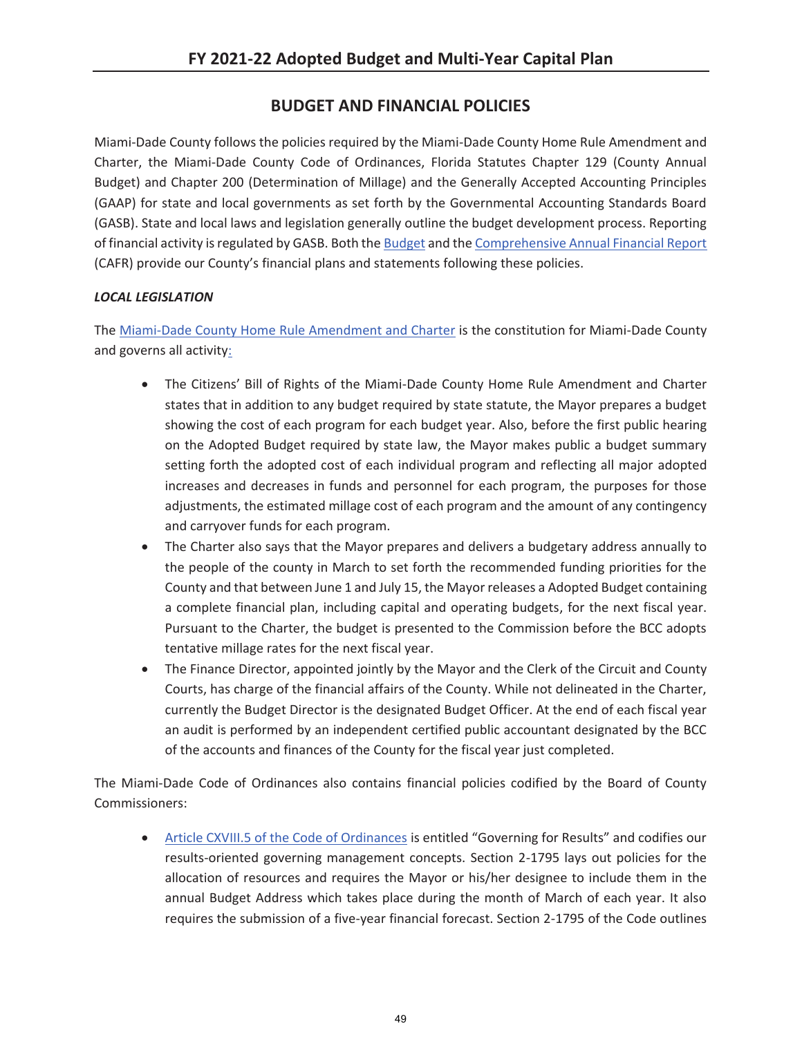## **BUDGET AND FINANCIAL POLICIES**

Miami-Dade County follows the policies required by the Miami-Dade County Home Rule Amendment and Charter, the Miami-Dade County Code of Ordinances, Florida Statutes Chapter 129 (County Annual Budget) and Chapter 200 (Determination of Millage) and the Generally Accepted Accounting Principles (GAAP) for state and local governments as set forth by the Governmental Accounting Standards Board (GASB). State and local laws and legislation generally outline the budget development process. Reporting of financial activity is regulated by GASB. Both the Budget and the Comprehensive Annual Financial Report (CAFR) provide our County's financial plans and statements following these policies.

## *LOCAL LEGISLATION*

The Miami-Dade County Home Rule Amendment and Charter is the constitution for Miami-Dade County and governs all activity:

- The Citizens' Bill of Rights of the Miami-Dade County Home Rule Amendment and Charter states that in addition to any budget required by state statute, the Mayor prepares a budget showing the cost of each program for each budget year. Also, before the first public hearing on the Adopted Budget required by state law, the Mayor makes public a budget summary setting forth the adopted cost of each individual program and reflecting all major adopted increases and decreases in funds and personnel for each program, the purposes for those adjustments, the estimated millage cost of each program and the amount of any contingency and carryover funds for each program.
- The Charter also says that the Mayor prepares and delivers a budgetary address annually to the people of the county in March to set forth the recommended funding priorities for the County and that between June 1 and July 15, the Mayor releases a Adopted Budget containing a complete financial plan, including capital and operating budgets, for the next fiscal year. Pursuant to the Charter, the budget is presented to the Commission before the BCC adopts tentative millage rates for the next fiscal year.
- The Finance Director, appointed jointly by the Mayor and the Clerk of the Circuit and County Courts, has charge of the financial affairs of the County. While not delineated in the Charter, currently the Budget Director is the designated Budget Officer. At the end of each fiscal year an audit is performed by an independent certified public accountant designated by the BCC of the accounts and finances of the County for the fiscal year just completed.

The Miami-Dade Code of Ordinances also contains financial policies codified by the Board of County Commissioners:

• Article CXVIII.5 of the Code of Ordinances is entitled "Governing for Results" and codifies our results-oriented governing management concepts. Section 2-1795 lays out policies for the allocation of resources and requires the Mayor or his/her designee to include them in the annual Budget Address which takes place during the month of March of each year. It also requires the submission of a five-year financial forecast. Section 2-1795 of the Code outlines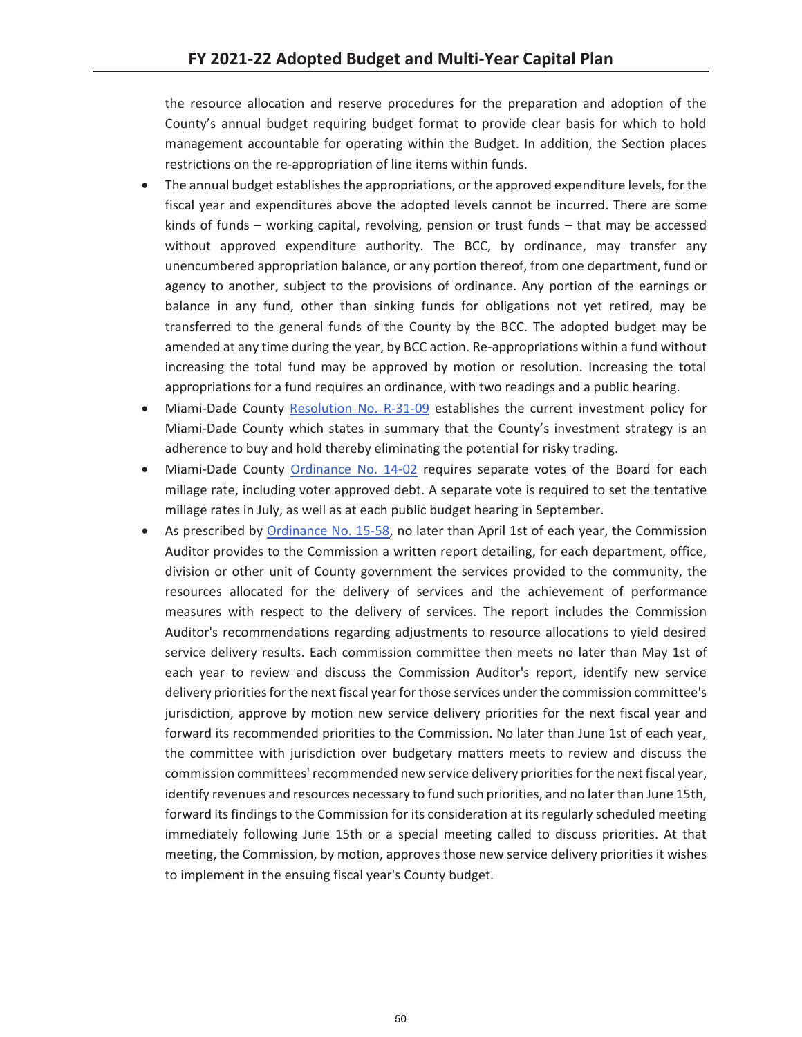the resource allocation and reserve procedures for the preparation and adoption of the County's annual budget requiring budget format to provide clear basis for which to hold management accountable for operating within the Budget. In addition, the Section places restrictions on the re-appropriation of line items within funds.

- The annual budget establishes the appropriations, or the approved expenditure levels, for the fiscal year and expenditures above the adopted levels cannot be incurred. There are some kinds of funds – working capital, revolving, pension or trust funds – that may be accessed without approved expenditure authority. The BCC, by ordinance, may transfer any unencumbered appropriation balance, or any portion thereof, from one department, fund or agency to another, subject to the provisions of ordinance. Any portion of the earnings or balance in any fund, other than sinking funds for obligations not yet retired, may be transferred to the general funds of the County by the BCC. The adopted budget may be amended at any time during the year, by BCC action. Re-appropriations within a fund without increasing the total fund may be approved by motion or resolution. Increasing the total appropriations for a fund requires an ordinance, with two readings and a public hearing.
- Miami-Dade County Resolution No. R-31-09 establishes the current investment policy for Miami-Dade County which states in summary that the County's investment strategy is an adherence to buy and hold thereby eliminating the potential for risky trading.
- Miami-Dade County Ordinance No. 14-02 requires separate votes of the Board for each millage rate, including voter approved debt. A separate vote is required to set the tentative millage rates in July, as well as at each public budget hearing in September.
- As prescribed by Ordinance No. 15-58, no later than April 1st of each year, the Commission Auditor provides to the Commission a written report detailing, for each department, office, division or other unit of County government the services provided to the community, the resources allocated for the delivery of services and the achievement of performance measures with respect to the delivery of services. The report includes the Commission Auditor's recommendations regarding adjustments to resource allocations to yield desired service delivery results. Each commission committee then meets no later than May 1st of each year to review and discuss the Commission Auditor's report, identify new service delivery priorities for the next fiscal year for those services under the commission committee's jurisdiction, approve by motion new service delivery priorities for the next fiscal year and forward its recommended priorities to the Commission. No later than June 1st of each year, the committee with jurisdiction over budgetary matters meets to review and discuss the commission committees' recommended new service delivery priorities for the next fiscal year, identify revenues and resources necessary to fund such priorities, and no later than June 15th, forward its findings to the Commission for its consideration at its regularly scheduled meeting immediately following June 15th or a special meeting called to discuss priorities. At that meeting, the Commission, by motion, approves those new service delivery priorities it wishes to implement in the ensuing fiscal year's County budget.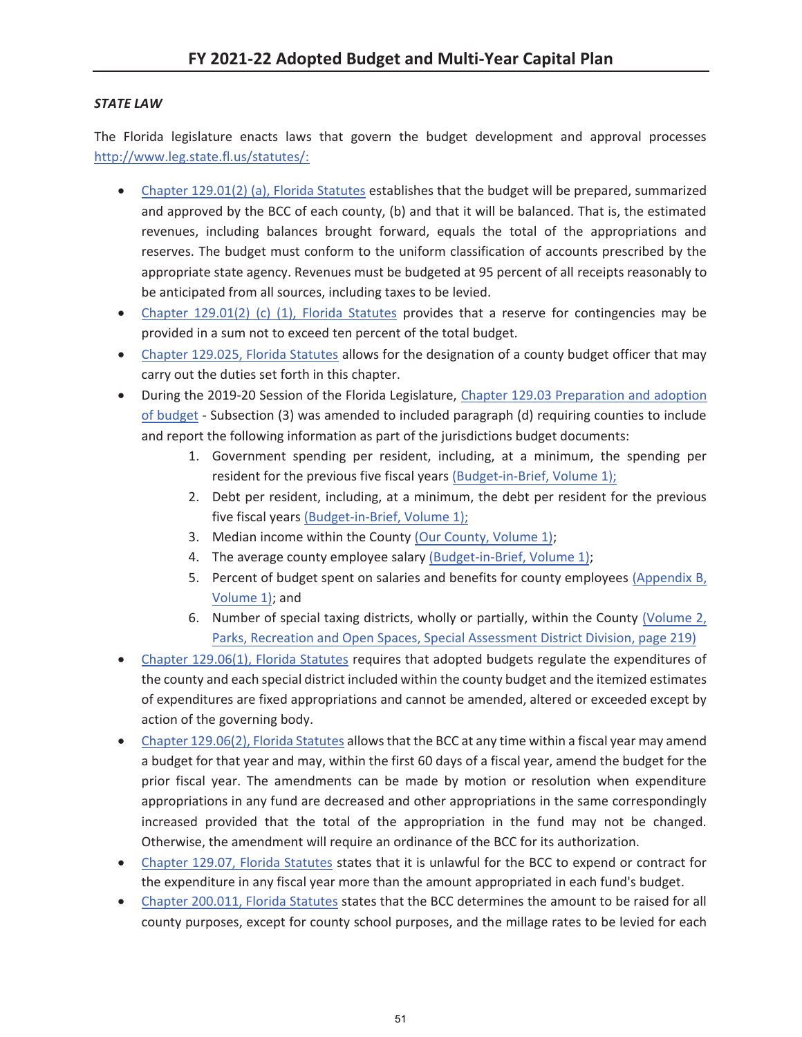## *STATE LAW*

The Florida legislature enacts laws that govern the budget development and approval processes http://www.leg.state.fl.us/statutes/:

- Chapter 129.01(2) (a), Florida Statutes establishes that the budget will be prepared, summarized and approved by the BCC of each county, (b) and that it will be balanced. That is, the estimated revenues, including balances brought forward, equals the total of the appropriations and reserves. The budget must conform to the uniform classification of accounts prescribed by the appropriate state agency. Revenues must be budgeted at 95 percent of all receipts reasonably to be anticipated from all sources, including taxes to be levied.
- Chapter 129.01(2) (c) (1), Florida Statutes provides that a reserve for contingencies may be provided in a sum not to exceed ten percent of the total budget.
- Chapter 129.025, Florida Statutes allows for the designation of a county budget officer that may carry out the duties set forth in this chapter.
- During the 2019-20 Session of the Florida Legislature, Chapter 129.03 Preparation and adoption of budget - Subsection (3) was amended to included paragraph (d) requiring counties to include and report the following information as part of the jurisdictions budget documents:
	- 1. Government spending per resident, including, at a minimum, the spending per resident for the previous five fiscal years (Budget-in-Brief, Volume 1);
	- 2. Debt per resident, including, at a minimum, the debt per resident for the previous five fiscal years (Budget-in-Brief, Volume 1);
	- 3. Median income within the County (Our County, Volume 1);
	- 4. The average county employee salary (Budget-in-Brief, Volume 1);
	- 5. Percent of budget spent on salaries and benefits for county employees (Appendix B, Volume 1); and
	- 6. Number of special taxing districts, wholly or partially, within the County (Volume 2, Parks, Recreation and Open Spaces, Special Assessment District Division, page 219)
- Chapter 129.06(1), Florida Statutes requires that adopted budgets regulate the expenditures of the county and each special district included within the county budget and the itemized estimates of expenditures are fixed appropriations and cannot be amended, altered or exceeded except by action of the governing body.
- Chapter 129.06(2), Florida Statutes allows that the BCC at any time within a fiscal year may amend a budget for that year and may, within the first 60 days of a fiscal year, amend the budget for the prior fiscal year. The amendments can be made by motion or resolution when expenditure appropriations in any fund are decreased and other appropriations in the same correspondingly increased provided that the total of the appropriation in the fund may not be changed. Otherwise, the amendment will require an ordinance of the BCC for its authorization.
- Chapter 129.07, Florida Statutes states that it is unlawful for the BCC to expend or contract for the expenditure in any fiscal year more than the amount appropriated in each fund's budget.
- Chapter 200.011, Florida Statutes states that the BCC determines the amount to be raised for all county purposes, except for county school purposes, and the millage rates to be levied for each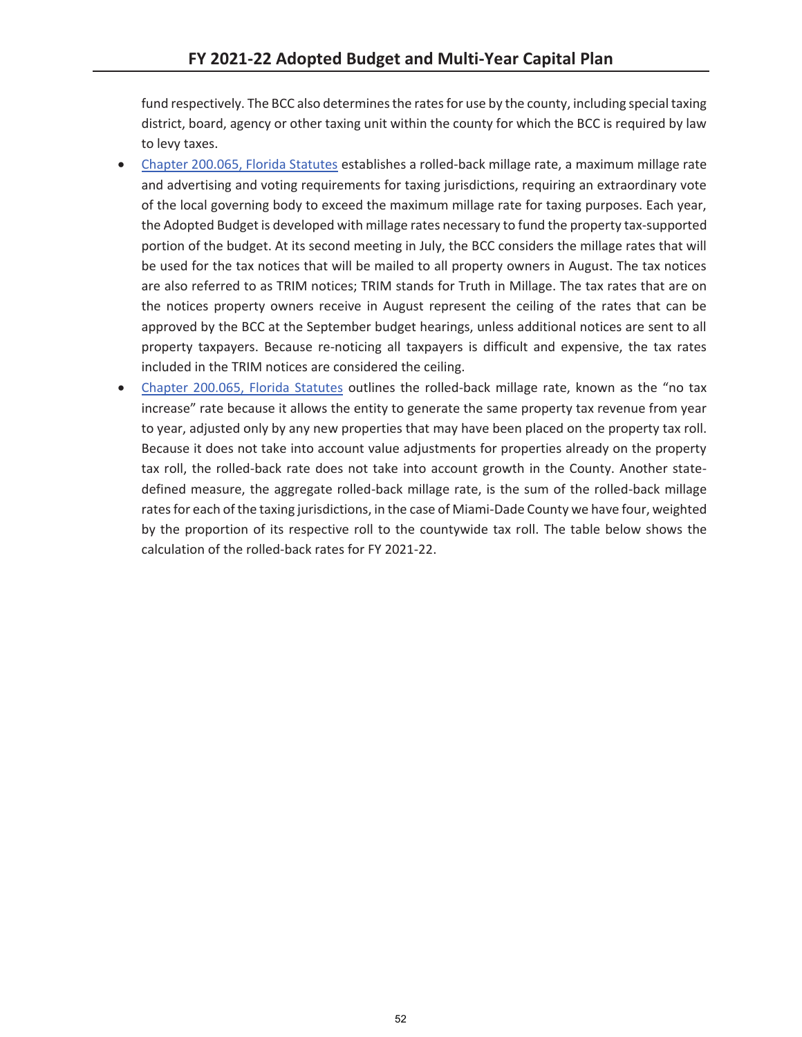fund respectively. The BCC also determines the rates for use by the county, including special taxing district, board, agency or other taxing unit within the county for which the BCC is required by law to levy taxes.

- x Chapter 200.065, Florida Statutes establishes a rolled-back millage rate, a maximum millage rate and advertising and voting requirements for taxing jurisdictions, requiring an extraordinary vote of the local governing body to exceed the maximum millage rate for taxing purposes. Each year, the Adopted Budget is developed with millage rates necessary to fund the property tax-supported portion of the budget. At its second meeting in July, the BCC considers the millage rates that will be used for the tax notices that will be mailed to all property owners in August. The tax notices are also referred to as TRIM notices; TRIM stands for Truth in Millage. The tax rates that are on the notices property owners receive in August represent the ceiling of the rates that can be approved by the BCC at the September budget hearings, unless additional notices are sent to all property taxpayers. Because re-noticing all taxpayers is difficult and expensive, the tax rates included in the TRIM notices are considered the ceiling.
- Chapter 200.065, Florida Statutes outlines the rolled-back millage rate, known as the "no tax increase" rate because it allows the entity to generate the same property tax revenue from year to year, adjusted only by any new properties that may have been placed on the property tax roll. Because it does not take into account value adjustments for properties already on the property tax roll, the rolled-back rate does not take into account growth in the County. Another statedefined measure, the aggregate rolled-back millage rate, is the sum of the rolled-back millage rates for each of the taxing jurisdictions, in the case of Miami-Dade County we have four, weighted by the proportion of its respective roll to the countywide tax roll. The table below shows the calculation of the rolled-back rates for FY 2021-22.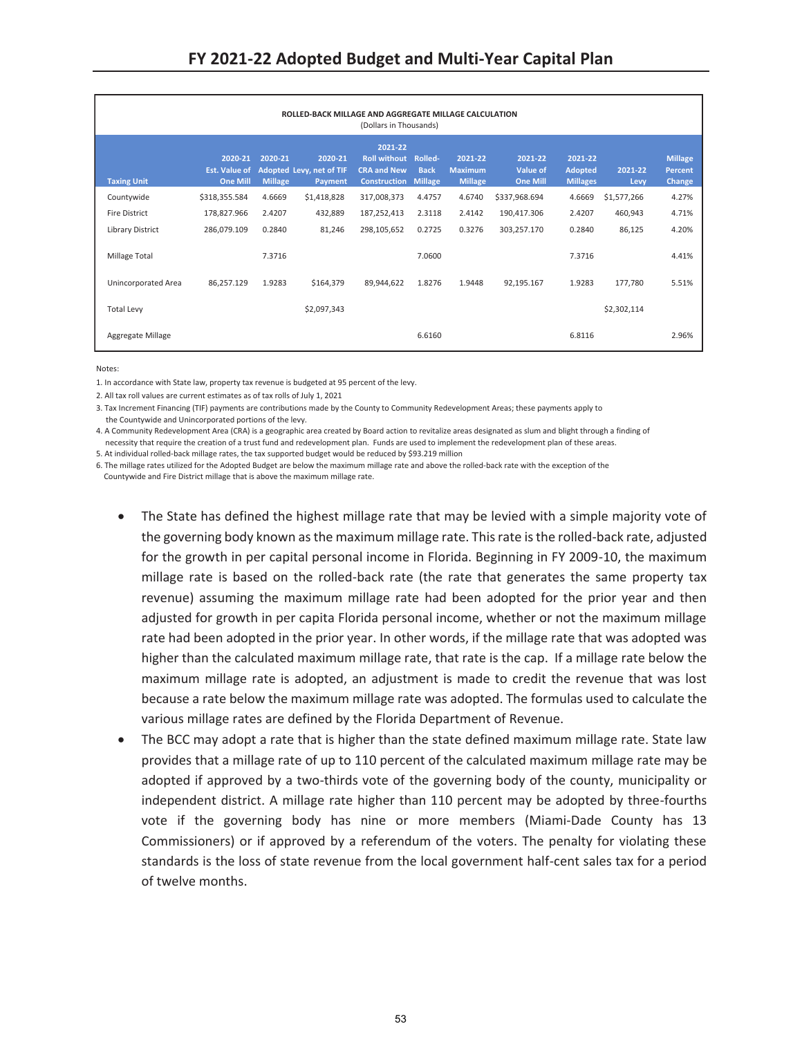| ROLLED-BACK MILLAGE AND AGGREGATE MILLAGE CALCULATION<br>(Dollars in Thousands) |                                                    |                           |                                                |                                                                             |                                          |                                             |                                               |                                              |                 |                                            |
|---------------------------------------------------------------------------------|----------------------------------------------------|---------------------------|------------------------------------------------|-----------------------------------------------------------------------------|------------------------------------------|---------------------------------------------|-----------------------------------------------|----------------------------------------------|-----------------|--------------------------------------------|
| <b>Taxing Unit</b>                                                              | 2020-21<br><b>Est. Value of</b><br><b>One Mill</b> | 2020-21<br><b>Millage</b> | 2020-21<br>Adopted Levy, net of TIF<br>Payment | 2021-22<br><b>Roll without</b><br><b>CRA and New</b><br><b>Construction</b> | Rolled-<br><b>Back</b><br><b>Millage</b> | 2021-22<br><b>Maximum</b><br><b>Millage</b> | 2021-22<br><b>Value of</b><br><b>One Mill</b> | 2021-22<br><b>Adopted</b><br><b>Millages</b> | 2021-22<br>Levy | <b>Millage</b><br><b>Percent</b><br>Change |
| Countywide                                                                      | \$318,355.584                                      | 4.6669                    | \$1,418,828                                    | 317,008,373                                                                 | 4.4757                                   | 4.6740                                      | \$337,968.694                                 | 4.6669                                       | \$1,577,266     | 4.27%                                      |
| Fire District                                                                   | 178,827.966                                        | 2.4207                    | 432,889                                        | 187,252,413                                                                 | 2.3118                                   | 2.4142                                      | 190,417.306                                   | 2.4207                                       | 460,943         | 4.71%                                      |
| <b>Library District</b>                                                         | 286,079.109                                        | 0.2840                    | 81,246                                         | 298,105,652                                                                 | 0.2725                                   | 0.3276                                      | 303,257.170                                   | 0.2840                                       | 86,125          | 4.20%                                      |
| Millage Total                                                                   |                                                    | 7.3716                    |                                                |                                                                             | 7.0600                                   |                                             |                                               | 7.3716                                       |                 | 4.41%                                      |
| Unincorporated Area                                                             | 86,257.129                                         | 1.9283                    | \$164,379                                      | 89,944,622                                                                  | 1.8276                                   | 1.9448                                      | 92,195.167                                    | 1.9283                                       | 177,780         | 5.51%                                      |
| <b>Total Levy</b>                                                               |                                                    |                           | \$2,097,343                                    |                                                                             |                                          |                                             |                                               |                                              | \$2,302,114     |                                            |
| Aggregate Millage                                                               |                                                    |                           |                                                |                                                                             | 6.6160                                   |                                             |                                               | 6.8116                                       |                 | 2.96%                                      |

Notes:

1. In accordance with State law, property tax revenue is budgeted at 95 percent of the levy.

2. All tax roll values are current estimates as of tax rolls of July 1, 2021

3. Tax Increment Financing (TIF) payments are contributions made by the County to Community Redevelopment Areas; these payments apply to

the Countywide and Unincorporated portions of the levy.

4. A Community Redevelopment Area (CRA) is a geographic area created by Board action to revitalize areas designated as slum and blight through a finding of necessity that require the creation of a trust fund and redevelopment plan. Funds are used to implement the redevelopment plan of these areas.

5. At individual rolled-back millage rates, the tax supported budget would be reduced by \$93.219 million

6. The millage rates utilized for the Adopted Budget are below the maximum millage rate and above the rolled-back rate with the exception of the

Countywide and Fire District millage that is above the maximum millage rate.

- The State has defined the highest millage rate that may be levied with a simple majority vote of the governing body known as the maximum millage rate. This rate is the rolled-back rate, adjusted for the growth in per capital personal income in Florida. Beginning in FY 2009-10, the maximum millage rate is based on the rolled-back rate (the rate that generates the same property tax revenue) assuming the maximum millage rate had been adopted for the prior year and then adjusted for growth in per capita Florida personal income, whether or not the maximum millage rate had been adopted in the prior year. In other words, if the millage rate that was adopted was higher than the calculated maximum millage rate, that rate is the cap. If a millage rate below the maximum millage rate is adopted, an adjustment is made to credit the revenue that was lost because a rate below the maximum millage rate was adopted. The formulas used to calculate the various millage rates are defined by the Florida Department of Revenue.
- The BCC may adopt a rate that is higher than the state defined maximum millage rate. State law provides that a millage rate of up to 110 percent of the calculated maximum millage rate may be adopted if approved by a two-thirds vote of the governing body of the county, municipality or independent district. A millage rate higher than 110 percent may be adopted by three-fourths vote if the governing body has nine or more members (Miami-Dade County has 13 Commissioners) or if approved by a referendum of the voters. The penalty for violating these standards is the loss of state revenue from the local government half-cent sales tax for a period of twelve months.